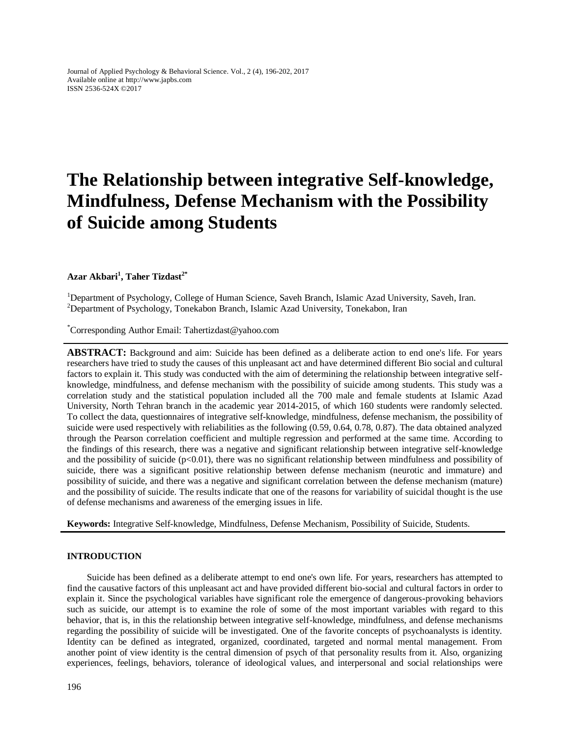Journal of Applied Psychology & Behavioral Science. Vol., 2 (4), 196-202, 2017 Available online at http://www.japbs.com ISSN 2536-524X ©2017

# **The Relationship between integrative Self-knowledge, Mindfulness, Defense Mechanism with the Possibility of Suicide among Students**

## **Azar Akbari<sup>1</sup> , Taher Tizdast2\***

<sup>1</sup>Department of Psychology, College of Human Science, Saveh Branch, Islamic Azad University, Saveh, Iran. <sup>2</sup>Department of Psychology, Tonekabon Branch, Islamic Azad University, Tonekabon, Iran

\*Corresponding Author Email: Tahertizdast@yahoo.com

**ABSTRACT:** Background and aim: Suicide has been defined as a deliberate action to end one's life. For years researchers have tried to study the causes of this unpleasant act and have determined different Bio social and cultural factors to explain it. This study was conducted with the aim of determining the relationship between integrative selfknowledge, mindfulness, and defense mechanism with the possibility of suicide among students. This study was a correlation study and the statistical population included all the 700 male and female students at Islamic Azad University, North Tehran branch in the academic year 2014-2015, of which 160 students were randomly selected. To collect the data, questionnaires of integrative self-knowledge, mindfulness, defense mechanism, the possibility of suicide were used respectively with reliabilities as the following (0.59, 0.64, 0.78, 0.87). The data obtained analyzed through the Pearson correlation coefficient and multiple regression and performed at the same time. According to the findings of this research, there was a negative and significant relationship between integrative self-knowledge and the possibility of suicide  $(p<0.01)$ , there was no significant relationship between mindfulness and possibility of suicide, there was a significant positive relationship between defense mechanism (neurotic and immature) and possibility of suicide, and there was a negative and significant correlation between the defense mechanism (mature) and the possibility of suicide. The results indicate that one of the reasons for variability of suicidal thought is the use of defense mechanisms and awareness of the emerging issues in life.

**Keywords:** Integrative Self-knowledge, Mindfulness, Defense Mechanism, Possibility of Suicide, Students.

#### **INTRODUCTION**

Suicide has been defined as a deliberate attempt to end one's own life. For years, researchers has attempted to find the causative factors of this unpleasant act and have provided different bio-social and cultural factors in order to explain it. Since the psychological variables have significant role the emergence of dangerous-provoking behaviors such as suicide, our attempt is to examine the role of some of the most important variables with regard to this behavior, that is, in this the relationship between integrative self-knowledge, mindfulness, and defense mechanisms regarding the possibility of suicide will be investigated. One of the favorite concepts of psychoanalysts is identity. Identity can be defined as integrated, organized, coordinated, targeted and normal mental management. From another point of view identity is the central dimension of psych of that personality results from it. Also, organizing experiences, feelings, behaviors, tolerance of ideological values, and interpersonal and social relationships were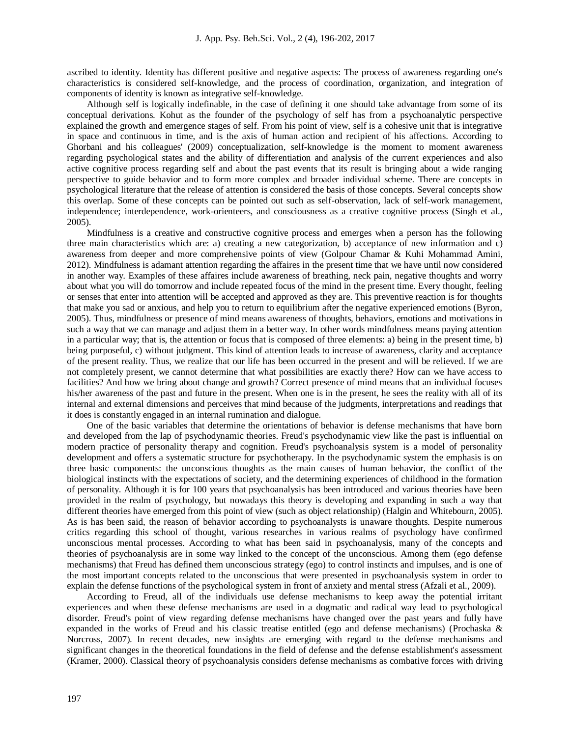ascribed to identity. Identity has different positive and negative aspects: The process of awareness regarding one's characteristics is considered self-knowledge, and the process of coordination, organization, and integration of components of identity is known as integrative self-knowledge.

Although self is logically indefinable, in the case of defining it one should take advantage from some of its conceptual derivations. Kohut as the founder of the psychology of self has from a psychoanalytic perspective explained the growth and emergence stages of self. From his point of view, self is a cohesive unit that is integrative in space and continuous in time, and is the axis of human action and recipient of his affections. According to Ghorbani and his colleagues' (2009) conceptualization, self-knowledge is the moment to moment awareness regarding psychological states and the ability of differentiation and analysis of the current experiences and also active cognitive process regarding self and about the past events that its result is bringing about a wide ranging perspective to guide behavior and to form more complex and broader individual scheme. There are concepts in psychological literature that the release of attention is considered the basis of those concepts. Several concepts show this overlap. Some of these concepts can be pointed out such as self-observation, lack of self-work management, independence; interdependence, work-orienteers, and consciousness as a creative cognitive process (Singh et al., 2005).

Mindfulness is a creative and constructive cognitive process and emerges when a person has the following three main characteristics which are: a) creating a new categorization, b) acceptance of new information and c) awareness from deeper and more comprehensive points of view (Golpour Chamar & Kuhi Mohammad Amini, 2012). Mindfulness is adamant attention regarding the affaires in the present time that we have until now considered in another way. Examples of these affaires include awareness of breathing, neck pain, negative thoughts and worry about what you will do tomorrow and include repeated focus of the mind in the present time. Every thought, feeling or senses that enter into attention will be accepted and approved as they are. This preventive reaction is for thoughts that make you sad or anxious, and help you to return to equilibrium after the negative experienced emotions (Byron, 2005). Thus, mindfulness or presence of mind means awareness of thoughts, behaviors, emotions and motivations in such a way that we can manage and adjust them in a better way. In other words mindfulness means paying attention in a particular way; that is, the attention or focus that is composed of three elements: a) being in the present time, b) being purposeful, c) without judgment. This kind of attention leads to increase of awareness, clarity and acceptance of the present reality. Thus, we realize that our life has been occurred in the present and will be relieved. If we are not completely present, we cannot determine that what possibilities are exactly there? How can we have access to facilities? And how we bring about change and growth? Correct presence of mind means that an individual focuses his/her awareness of the past and future in the present. When one is in the present, he sees the reality with all of its internal and external dimensions and perceives that mind because of the judgments, interpretations and readings that it does is constantly engaged in an internal rumination and dialogue.

One of the basic variables that determine the orientations of behavior is defense mechanisms that have born and developed from the lap of psychodynamic theories. Freud's psychodynamic view like the past is influential on modern practice of personality therapy and cognition. Freud's psychoanalysis system is a model of personality development and offers a systematic structure for psychotherapy. In the psychodynamic system the emphasis is on three basic components: the unconscious thoughts as the main causes of human behavior, the conflict of the biological instincts with the expectations of society, and the determining experiences of childhood in the formation of personality. Although it is for 100 years that psychoanalysis has been introduced and various theories have been provided in the realm of psychology, but nowadays this theory is developing and expanding in such a way that different theories have emerged from this point of view (such as object relationship) (Halgin and Whitebourn, 2005). As is has been said, the reason of behavior according to psychoanalysts is unaware thoughts. Despite numerous critics regarding this school of thought, various researches in various realms of psychology have confirmed unconscious mental processes. According to what has been said in psychoanalysis, many of the concepts and theories of psychoanalysis are in some way linked to the concept of the unconscious. Among them (ego defense mechanisms) that Freud has defined them unconscious strategy (ego) to control instincts and impulses, and is one of the most important concepts related to the unconscious that were presented in psychoanalysis system in order to explain the defense functions of the psychological system in front of anxiety and mental stress (Afzali et al., 2009).

According to Freud, all of the individuals use defense mechanisms to keep away the potential irritant experiences and when these defense mechanisms are used in a dogmatic and radical way lead to psychological disorder. Freud's point of view regarding defense mechanisms have changed over the past years and fully have expanded in the works of Freud and his classic treatise entitled (ego and defense mechanisms) (Prochaska & Norcross, 2007). In recent decades, new insights are emerging with regard to the defense mechanisms and significant changes in the theoretical foundations in the field of defense and the defense establishment's assessment (Kramer, 2000). Classical theory of psychoanalysis considers defense mechanisms as combative forces with driving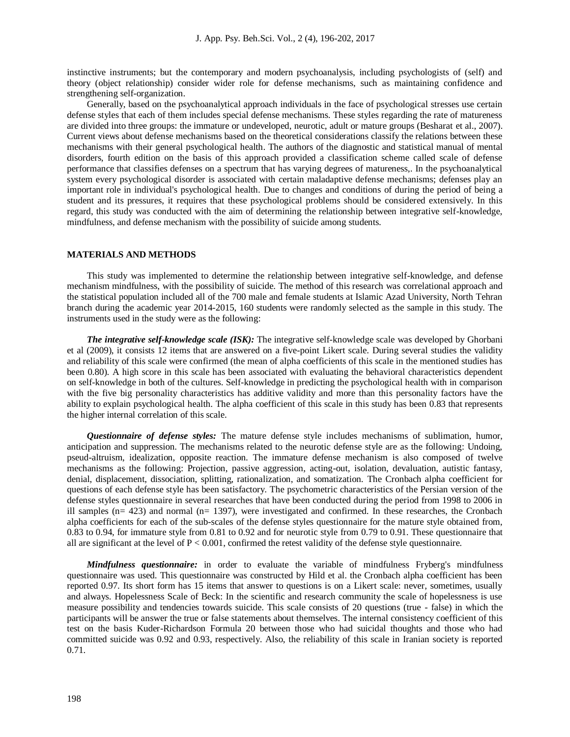instinctive instruments; but the contemporary and modern psychoanalysis, including psychologists of (self) and theory (object relationship) consider wider role for defense mechanisms, such as maintaining confidence and strengthening self-organization.

Generally, based on the psychoanalytical approach individuals in the face of psychological stresses use certain defense styles that each of them includes special defense mechanisms. These styles regarding the rate of matureness are divided into three groups: the immature or undeveloped, neurotic, adult or mature groups (Besharat et al., 2007). Current views about defense mechanisms based on the theoretical considerations classify the relations between these mechanisms with their general psychological health. The authors of the diagnostic and statistical manual of mental disorders, fourth edition on the basis of this approach provided a classification scheme called scale of defense performance that classifies defenses on a spectrum that has varying degrees of matureness,. In the psychoanalytical system every psychological disorder is associated with certain maladaptive defense mechanisms; defenses play an important role in individual's psychological health. Due to changes and conditions of during the period of being a student and its pressures, it requires that these psychological problems should be considered extensively. In this regard, this study was conducted with the aim of determining the relationship between integrative self-knowledge, mindfulness, and defense mechanism with the possibility of suicide among students.

## **MATERIALS AND METHODS**

This study was implemented to determine the relationship between integrative self-knowledge, and defense mechanism mindfulness, with the possibility of suicide. The method of this research was correlational approach and the statistical population included all of the 700 male and female students at Islamic Azad University, North Tehran branch during the academic year 2014-2015, 160 students were randomly selected as the sample in this study. The instruments used in the study were as the following:

*The integrative self-knowledge scale (ISK):* The integrative self-knowledge scale was developed by Ghorbani et al (2009), it consists 12 items that are answered on a five-point Likert scale. During several studies the validity and reliability of this scale were confirmed (the mean of alpha coefficients of this scale in the mentioned studies has been 0.80). A high score in this scale has been associated with evaluating the behavioral characteristics dependent on self-knowledge in both of the cultures. Self-knowledge in predicting the psychological health with in comparison with the five big personality characteristics has additive validity and more than this personality factors have the ability to explain psychological health. The alpha coefficient of this scale in this study has been 0.83 that represents the higher internal correlation of this scale.

*Questionnaire of defense styles:* The mature defense style includes mechanisms of sublimation, humor, anticipation and suppression. The mechanisms related to the neurotic defense style are as the following: Undoing, pseud-altruism, idealization, opposite reaction. The immature defense mechanism is also composed of twelve mechanisms as the following: Projection, passive aggression, acting-out, isolation, devaluation, autistic fantasy, denial, displacement, dissociation, splitting, rationalization, and somatization. The Cronbach alpha coefficient for questions of each defense style has been satisfactory. The psychometric characteristics of the Persian version of the defense styles questionnaire in several researches that have been conducted during the period from 1998 to 2006 in ill samples (n= 423) and normal (n= 1397), were investigated and confirmed. In these researches, the Cronbach alpha coefficients for each of the sub-scales of the defense styles questionnaire for the mature style obtained from, 0.83 to 0.94, for immature style from 0.81 to 0.92 and for neurotic style from 0.79 to 0.91. These questionnaire that all are significant at the level of  $P < 0.001$ , confirmed the retest validity of the defense style questionnaire.

*Mindfulness questionnaire:* in order to evaluate the variable of mindfulness Fryberg's mindfulness questionnaire was used. This questionnaire was constructed by Hild et al. the Cronbach alpha coefficient has been reported 0.97. Its short form has 15 items that answer to questions is on a Likert scale: never, sometimes, usually and always. Hopelessness Scale of Beck: In the scientific and research community the scale of hopelessness is use measure possibility and tendencies towards suicide. This scale consists of 20 questions (true - false) in which the participants will be answer the true or false statements about themselves. The internal consistency coefficient of this test on the basis Kuder-Richardson Formula 20 between those who had suicidal thoughts and those who had committed suicide was 0.92 and 0.93, respectively. Also, the reliability of this scale in Iranian society is reported 0.71.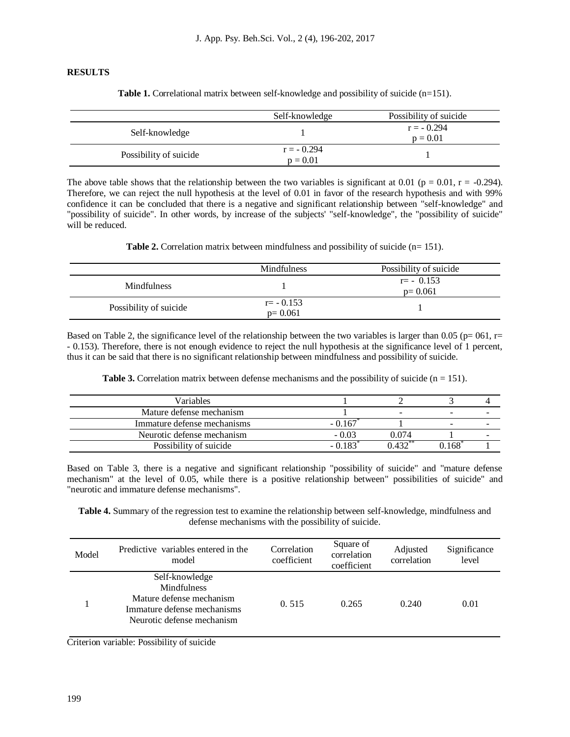## **RESULTS**

| <b>Table 1.</b> Correlational matrix between self-knowledge and possibility of suicide $(n=151)$ . |  |
|----------------------------------------------------------------------------------------------------|--|
|----------------------------------------------------------------------------------------------------|--|

|                        | Self-knowledge             | Possibility of suicide     |
|------------------------|----------------------------|----------------------------|
| Self-knowledge         |                            | $r = -0.294$<br>$p = 0.01$ |
| Possibility of suicide | $r = -0.294$<br>$p = 0.01$ |                            |

The above table shows that the relationship between the two variables is significant at 0.01 ( $p = 0.01$ ,  $r = -0.294$ ). Therefore, we can reject the null hypothesis at the level of 0.01 in favor of the research hypothesis and with 99% confidence it can be concluded that there is a negative and significant relationship between "self-knowledge" and "possibility of suicide". In other words, by increase of the subjects' "self-knowledge", the "possibility of suicide" will be reduced.

**Table 2.** Correlation matrix between mindfulness and possibility of suicide (n= 151).

|                        | <b>Mindfulness</b>        | Possibility of suicide      |
|------------------------|---------------------------|-----------------------------|
| <b>Mindfulness</b>     |                           | $r = -0.153$<br>$p = 0.061$ |
| Possibility of suicide | $r = -0.153$<br>$p=0.061$ |                             |

Based on Table 2, the significance level of the relationship between the two variables is larger than 0.05 ( $p= 061$ ,  $r=$ - 0.153). Therefore, there is not enough evidence to reject the null hypothesis at the significance level of 1 percent, thus it can be said that there is no significant relationship between mindfulness and possibility of suicide.

**Table 3.** Correlation matrix between defense mechanisms and the possibility of suicide  $(n = 151)$ .

| Variables                   |          |       |                          |   |
|-----------------------------|----------|-------|--------------------------|---|
| Mature defense mechanism    |          | -     | $\overline{\phantom{a}}$ | - |
| Immature defense mechanisms | $-0.167$ |       | -                        | - |
| Neurotic defense mechanism  | $-0.03$  | 0.074 |                          |   |
| Possibility of suicide      | 0.183    | 122   | 168                      |   |

Based on Table 3, there is a negative and significant relationship "possibility of suicide" and "mature defense mechanism" at the level of 0.05, while there is a positive relationship between" possibilities of suicide" and "neurotic and immature defense mechanisms".

**Table 4.** Summary of the regression test to examine the relationship between self-knowledge, mindfulness and defense mechanisms with the possibility of suicide.

| Model | Predictive variables entered in the<br>model                                                                                  | Correlation<br>coefficient | Square of<br>correlation<br>coefficient | Adjusted<br>correlation | Significance<br>level |
|-------|-------------------------------------------------------------------------------------------------------------------------------|----------------------------|-----------------------------------------|-------------------------|-----------------------|
|       | Self-knowledge<br><b>Mindfulness</b><br>Mature defense mechanism<br>Immature defense mechanisms<br>Neurotic defense mechanism | 0.515                      | 0.265                                   | 0.240                   | 0.01                  |

Criterion variable: Possibility of suicide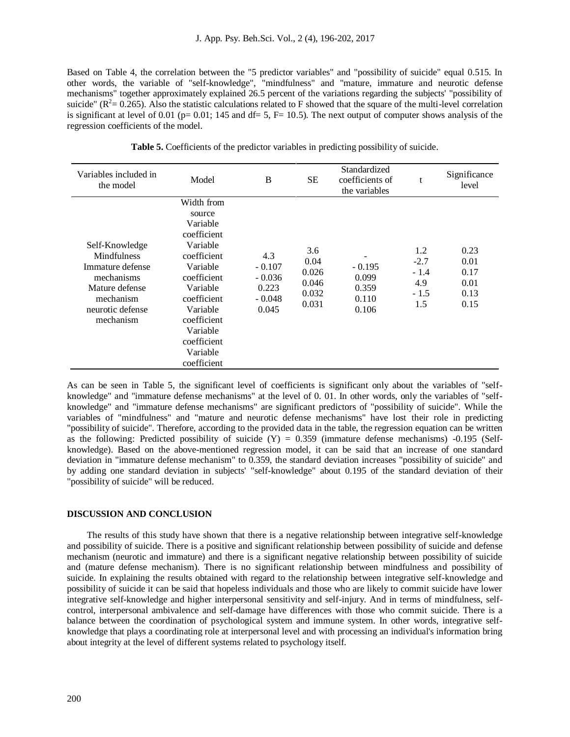Based on Table 4, the correlation between the "5 predictor variables" and "possibility of suicide" equal 0.515. In other words, the variable of "self-knowledge", "mindfulness" and "mature, immature and neurotic defense mechanisms" together approximately explained 26.5 percent of the variations regarding the subjects' "possibility of suicide" ( $R^2 = 0.265$ ). Also the statistic calculations related to F showed that the square of the multi-level correlation is significant at level of 0.01 ( $p= 0.01$ ; 145 and  $df= 5$ ,  $F= 10.5$ ). The next output of computer shows analysis of the regression coefficients of the model.

| Variables included in<br>the model                                                                                                     | Model                                                                                                                                                                                                             | B                                                         | <b>SE</b>                                       | Standardized<br>coefficients of<br>the variables | t                                               | Significance<br>level                        |
|----------------------------------------------------------------------------------------------------------------------------------------|-------------------------------------------------------------------------------------------------------------------------------------------------------------------------------------------------------------------|-----------------------------------------------------------|-------------------------------------------------|--------------------------------------------------|-------------------------------------------------|----------------------------------------------|
| Self-Knowledge<br><b>Mindfulness</b><br>Immature defense<br>mechanisms<br>Mature defense<br>mechanism<br>neurotic defense<br>mechanism | Width from<br>source<br>Variable<br>coefficient<br>Variable<br>coefficient<br>Variable<br>coefficient<br>Variable<br>coefficient<br>Variable<br>coefficient<br>Variable<br>coefficient<br>Variable<br>coefficient | 4.3<br>$-0.107$<br>$-0.036$<br>0.223<br>$-0.048$<br>0.045 | 3.6<br>0.04<br>0.026<br>0.046<br>0.032<br>0.031 | $-0.195$<br>0.099<br>0.359<br>0.110<br>0.106     | 1.2<br>$-2.7$<br>$-1.4$<br>4.9<br>$-1.5$<br>1.5 | 0.23<br>0.01<br>0.17<br>0.01<br>0.13<br>0.15 |

**Table 5.** Coefficients of the predictor variables in predicting possibility of suicide.

As can be seen in Table 5, the significant level of coefficients is significant only about the variables of "selfknowledge" and "immature defense mechanisms" at the level of 0. 01. In other words, only the variables of "selfknowledge" and "immature defense mechanisms" are significant predictors of "possibility of suicide". While the variables of "mindfulness" and "mature and neurotic defense mechanisms" have lost their role in predicting "possibility of suicide". Therefore, according to the provided data in the table, the regression equation can be written as the following: Predicted possibility of suicide  $(Y) = 0.359$  (immature defense mechanisms) -0.195 (Selfknowledge). Based on the above-mentioned regression model, it can be said that an increase of one standard deviation in "immature defense mechanism" to 0.359, the standard deviation increases "possibility of suicide" and by adding one standard deviation in subjects' "self-knowledge" about 0.195 of the standard deviation of their "possibility of suicide" will be reduced.

#### **DISCUSSION AND CONCLUSION**

The results of this study have shown that there is a negative relationship between integrative self-knowledge and possibility of suicide. There is a positive and significant relationship between possibility of suicide and defense mechanism (neurotic and immature) and there is a significant negative relationship between possibility of suicide and (mature defense mechanism). There is no significant relationship between mindfulness and possibility of suicide. In explaining the results obtained with regard to the relationship between integrative self-knowledge and possibility of suicide it can be said that hopeless individuals and those who are likely to commit suicide have lower integrative self-knowledge and higher interpersonal sensitivity and self-injury. And in terms of mindfulness, selfcontrol, interpersonal ambivalence and self-damage have differences with those who commit suicide. There is a balance between the coordination of psychological system and immune system. In other words, integrative selfknowledge that plays a coordinating role at interpersonal level and with processing an individual's information bring about integrity at the level of different systems related to psychology itself.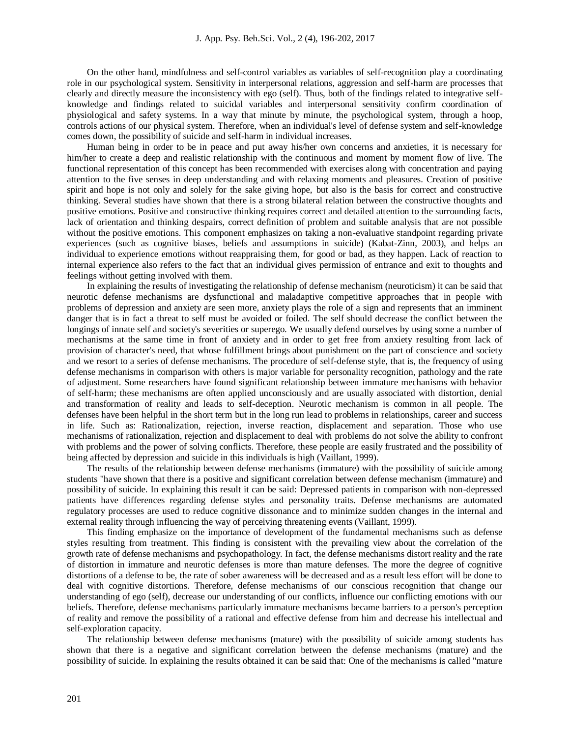On the other hand, mindfulness and self-control variables as variables of self-recognition play a coordinating role in our psychological system. Sensitivity in interpersonal relations, aggression and self-harm are processes that clearly and directly measure the inconsistency with ego (self). Thus, both of the findings related to integrative selfknowledge and findings related to suicidal variables and interpersonal sensitivity confirm coordination of physiological and safety systems. In a way that minute by minute, the psychological system, through a hoop, controls actions of our physical system. Therefore, when an individual's level of defense system and self-knowledge comes down, the possibility of suicide and self-harm in individual increases.

Human being in order to be in peace and put away his/her own concerns and anxieties, it is necessary for him/her to create a deep and realistic relationship with the continuous and moment by moment flow of live. The functional representation of this concept has been recommended with exercises along with concentration and paying attention to the five senses in deep understanding and with relaxing moments and pleasures. Creation of positive spirit and hope is not only and solely for the sake giving hope, but also is the basis for correct and constructive thinking. Several studies have shown that there is a strong bilateral relation between the constructive thoughts and positive emotions. Positive and constructive thinking requires correct and detailed attention to the surrounding facts, lack of orientation and thinking despairs, correct definition of problem and suitable analysis that are not possible without the positive emotions. This component emphasizes on taking a non-evaluative standpoint regarding private experiences (such as cognitive biases, beliefs and assumptions in suicide) (Kabat-Zinn, 2003), and helps an individual to experience emotions without reappraising them, for good or bad, as they happen. Lack of reaction to internal experience also refers to the fact that an individual gives permission of entrance and exit to thoughts and feelings without getting involved with them.

In explaining the results of investigating the relationship of defense mechanism (neuroticism) it can be said that neurotic defense mechanisms are dysfunctional and maladaptive competitive approaches that in people with problems of depression and anxiety are seen more, anxiety plays the role of a sign and represents that an imminent danger that is in fact a threat to self must be avoided or foiled. The self should decrease the conflict between the longings of innate self and society's severities or superego. We usually defend ourselves by using some a number of mechanisms at the same time in front of anxiety and in order to get free from anxiety resulting from lack of provision of character's need, that whose fulfillment brings about punishment on the part of conscience and society and we resort to a series of defense mechanisms. The procedure of self-defense style, that is, the frequency of using defense mechanisms in comparison with others is major variable for personality recognition, pathology and the rate of adjustment. Some researchers have found significant relationship between immature mechanisms with behavior of self-harm; these mechanisms are often applied unconsciously and are usually associated with distortion, denial and transformation of reality and leads to self-deception. Neurotic mechanism is common in all people. The defenses have been helpful in the short term but in the long run lead to problems in relationships, career and success in life. Such as: Rationalization, rejection, inverse reaction, displacement and separation. Those who use mechanisms of rationalization, rejection and displacement to deal with problems do not solve the ability to confront with problems and the power of solving conflicts. Therefore, these people are easily frustrated and the possibility of being affected by depression and suicide in this individuals is high (Vaillant, 1999).

The results of the relationship between defense mechanisms (immature) with the possibility of suicide among students "have shown that there is a positive and significant correlation between defense mechanism (immature) and possibility of suicide. In explaining this result it can be said: Depressed patients in comparison with non-depressed patients have differences regarding defense styles and personality traits. Defense mechanisms are automated regulatory processes are used to reduce cognitive dissonance and to minimize sudden changes in the internal and external reality through influencing the way of perceiving threatening events (Vaillant, 1999).

This finding emphasize on the importance of development of the fundamental mechanisms such as defense styles resulting from treatment. This finding is consistent with the prevailing view about the correlation of the growth rate of defense mechanisms and psychopathology. In fact, the defense mechanisms distort reality and the rate of distortion in immature and neurotic defenses is more than mature defenses. The more the degree of cognitive distortions of a defense to be, the rate of sober awareness will be decreased and as a result less effort will be done to deal with cognitive distortions. Therefore, defense mechanisms of our conscious recognition that change our understanding of ego (self), decrease our understanding of our conflicts, influence our conflicting emotions with our beliefs. Therefore, defense mechanisms particularly immature mechanisms became barriers to a person's perception of reality and remove the possibility of a rational and effective defense from him and decrease his intellectual and self-exploration capacity.

The relationship between defense mechanisms (mature) with the possibility of suicide among students has shown that there is a negative and significant correlation between the defense mechanisms (mature) and the possibility of suicide. In explaining the results obtained it can be said that: One of the mechanisms is called "mature